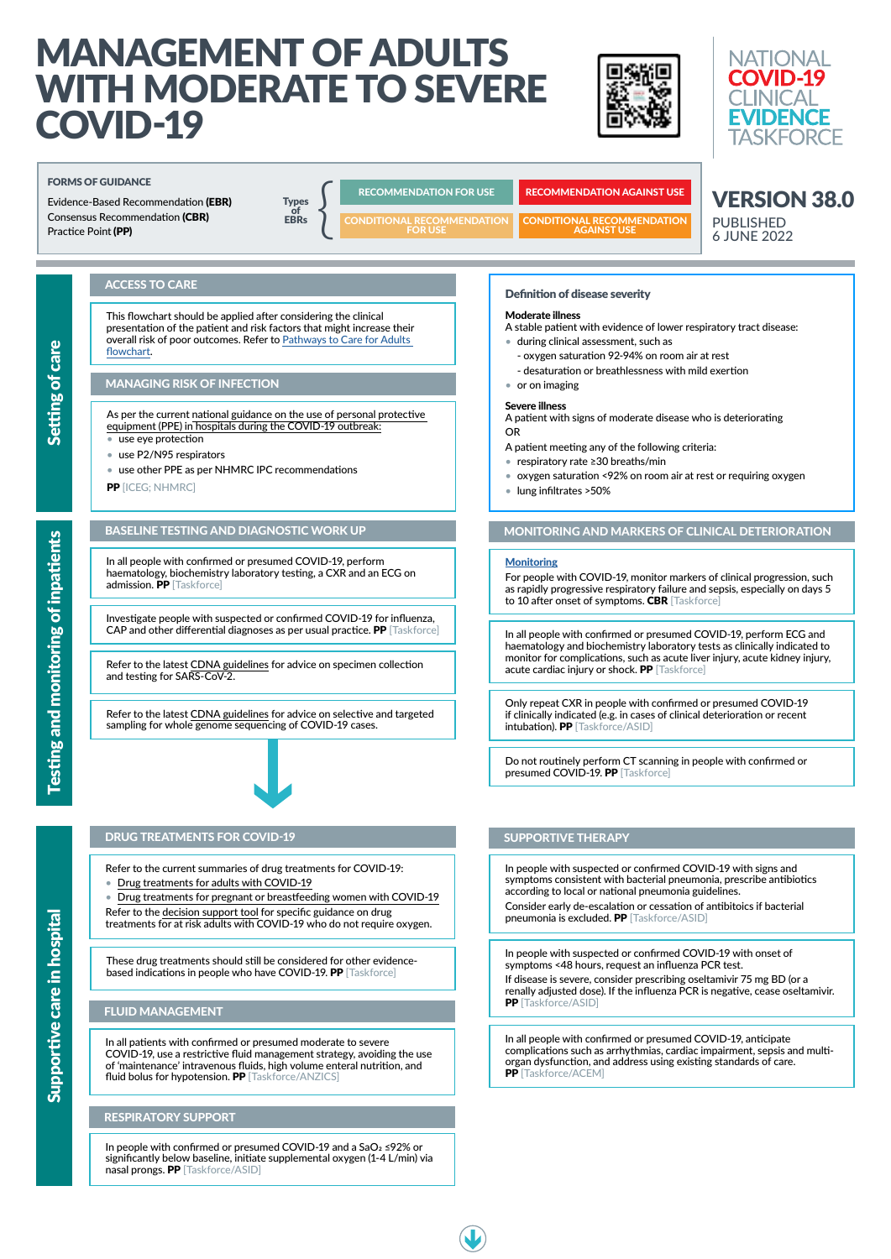# MANAGEMENT OF ADULTS WITH MODERATE TO SEVERE COVID-19





# Definition of disease severity

#### Moderate illness

A stable patient with evidence of lower respiratory tract disease:

- during clinical assessment, such as
	- oxygen saturation 92-94% on room air at rest
	- desaturation or breathlessness with mild exertion
- or on imaging

#### Severe illness

A patient with signs of moderate disease who is deteriorating OR

A patient meeting any of the following criteria:

- respiratory rate ≥30 breaths/min
- oxygen saturation <92% on room air at rest or requiring oxygen
- lung infiltrates >50%

In all people with confirmed or presumed COVID-19, perform haematology, biochemistry laboratory testing, a CXR and an ECG on admission. PP [Taskforce]

# ACCESS TO CARE

This flowchart should be applied after considering the clinical presentation of the patient and risk factors that might increase their overall risk of poor outcomes. Refer to [Pathways to Care for Adults](https://covid19evidence.net.au/wp-content/uploads/FLOWCHART-PATHWAYS-TO-CARE.pdf)  [flowchart](https://covid19evidence.net.au/wp-content/uploads/FLOWCHART-PATHWAYS-TO-CARE.pdf).

> In all people with confirmed or presumed COVID-19, perform ECG and haematology and biochemistry laboratory tests as clinically indicated to monitor for complications, such as acute liver injury, acute kidney injury, acute cardiac injury or shock. PP [Taskforce]

# MANAGING RISK OF INFECTION

As per the current [national guidance on the use of personal protective](https://www.health.gov.au/resources/publications/guidance-on-the-use-of-personal-protective-equipment-ppe-for-health-care-workers-in-the-context-of-covid-19)  [equipment \(PPE\) in hospitals during the COVID-19 outbreak:](https://www.health.gov.au/resources/publications/guidance-on-the-use-of-personal-protective-equipment-ppe-for-health-care-workers-in-the-context-of-covid-19)

> Only repeat CXR in people with confirmed or presumed COVID-19 if clinically indicated (e.g. in cases of clinical deterioration or recent intubation). PP [Taskforce/ASID]

- use eye protection
- use P2/N95 respirators
- use other PPE as per NHMRC IPC recommendations

PP [ICEG; NHMRC]

For people with COVID-19, monitor markers of clinical progression, such as rapidly progressive respiratory failure and sepsis, especially on days 5 to 10 after onset of symptoms. CBR [Taskforce]

# BASELINE TESTING AND DIAGNOSTIC WORK UP

Consider early de-escalation or cessation of antibitoics if bacterial pneumonia is excluded. PP [Taskforce/ASID]

If disease is severe, consider prescribing oseltamivir 75 mg BD (or a renally adjusted dose). If the influenza PCR is negative, cease oseltamivir. PP [Taskforce/ASID]

Investigate people with suspected or confirmed COVID-19 for influenza, CAP and other differential diagnoses as per usual practice. PP [Taskforce]

> In all people with confirmed or presumed COVID-19, anticipate complications such as arrhythmias, cardiac impairment, sepsis and multiorgan dysfunction, and address using existing standards of care. PP [Taskforce/ACEM]



Refer to the latest [CDNA guidelines](https://www1.health.gov.au/internet/main/publishing.nsf/Content/cdna-song-novel-coronavirus.htm) for advice on specimen collection and testing for SARS-CoV-2.

# MONITORING AND MARKERS OF CLINICAL DETERIORATION

#### **[Monitoring](https://is.gd/FYb6IJ)**

**Iegica** 

In all patients with confirmed or presumed moderate to severe COVID-19, use a restrictive fluid management strategy, avoiding the use of 'maintenance' intravenous fluids, high volume enteral nutrition, and fluid bolus for hypotension. PP [Taskforce/ANZICS]

Do not routinely perform CT scanning in people with confirmed or presumed COVID-19. PP [Taskforce]

In people with suspected or confirmed COVID-19 with signs and symptoms consistent with bacterial pneumonia, prescribe antibiotics according to local or national pneumonia guidelines.

In people with suspected or confirmed COVID-19 with onset of symptoms <48 hours, request an influenza PCR test.

VERSION 38.0

PUBLISHED 6 JUNE 2022

Refer to the latest [CDNA guidelines](https://www1.health.gov.au/internet/main/publishing.nsf/Content/cdna-song-novel-coronavirus.htm) for advice on selective and targeted sampling for whole genome sequencing of COVID-19 cases.



# DRUG TREATMENTS FOR COVID-19 SUPPORTIVE THERAPY

These drug treatments should still be considered for other evidencebased indications in people who have COVID-19. PP [Taskforce]

# FORMS OF GUIDANCE

Evidence-Based Recommendation (EBR) Consensus Recommendation (CBR) Practice Point (PP)

**Types** of<br>FRRs  $\begin{array}{c}\n\text{Types} \\
\text{of} \\
\text{EBRs}\n\end{array}$ 

RECOMMENDATION FOR USE RECOMMENDATION AGAINST USE

CONDITIONAL RECOMMENDATION AGAINST USE



CONDITIONAL RECOMMENDATION FOR USE

Refer to the current summaries of drug treatments for COVID-19:

- [Drug treatments for adults with COVID-19](https://covid19evidence.net.au/wp-content/uploads/FLOWCHART-DT-FOR-ADULTS.pdf)
- [Drug treatments for pregnant or breastfeeding women with COVID-19](https://covid19evidence.net.au/wp-content/uploads/FLOWCHART-DT-FOR-PREGNANCY.pdf)

Refer to the [decision support tool](https://covid19evidence.net.au/wp-content/uploads/DECISION-TOOL-DT-FOR-ADULTS.pdf) for specific guidance on drug treatments for at risk adults with COVID-19 who do not require oxygen.

#### FLUID MANAGEMENT

#### RESPIRATORY SUPPORT

In people with confirmed or presumed COVID-19 and a SaO2 ≤92% or significantly below baseline, initiate supplemental oxygen (1-4 L/min) via nasal prongs. PP [Taskforce/ASID]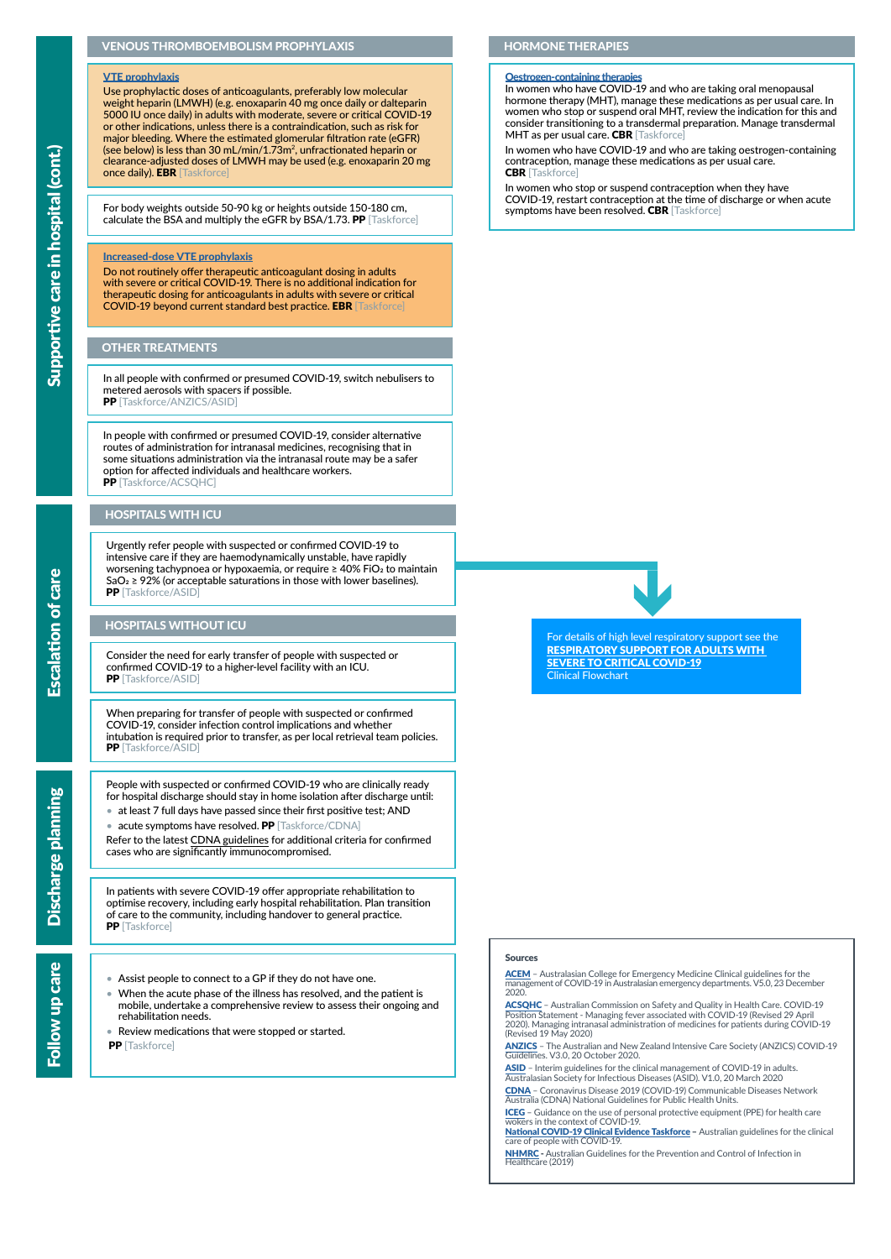## VENOUS THROMBOEMBOLISM PROPHYLAXIS

## OTHER TREATMENTS

## HORMONE THERAPIES

#### **[Oestrogen-containing therapies](https://app.magicapp.org/#/guideline/L4Q5An/section/jMOV3n)**

#### [Increased-dose VTE prophylaxis](https://app.magicapp.org/#/guideline/L4Q5An/section/j29ONE)

In all people with confirmed or presumed COVID-19, switch nebulisers to metered aerosols with spacers if possible. PP [Taskforce/ANZICS/ASID]

Do not routinely offer therapeutic anticoagulant dosing in adults with severe or critical COVID-19. There is no additional indication for therapeutic dosing for anticoagulants in adults with severe or critical COVID-19 beyond current standard best practice. EBR [Taskforce]

In people with confirmed or presumed COVID-19, consider alternative routes of administration for intranasal medicines, recognising that in some situations administration via the intranasal route may be a safer option for affected individuals and healthcare workers. PP [Taskforce/ACSOHC]

Use prophylactic doses of anticoagulants, preferably low molecular weight heparin (LMWH) (e.g. enoxaparin 40 mg once daily or dalteparin 5000 IU once daily) in adults with moderate, severe or critical COVID-19 or other indications, unless there is a contraindication, such as risk for major bleeding. Where the estimated glomerular filtration rate (eGFR) (see below) is less than 30 mL/min/1.73m2, unfractionated heparin or clearance-adjusted doses of LMWH may be used (e.g. enoxaparin 20 mg once daily). **EBR** [Taskforce]

In women who have COVID-19 and who are taking oral menopausal hormone therapy (MHT), manage these medications as per usual care. In women who stop or suspend oral MHT, review the indication for this and consider transitioning to a transdermal preparation. Manage transdermal MHT as per usual care. CBR [Taskforce]

#### [VTE prophylaxis](https://app.magicapp.org/#/guideline/L4Q5An/section/j29ONE)

In women who stop or suspend contraception when they have COVID-19, restart contraception at the time of discharge or when acute symptoms have been resolved. CBR [Taskforce]

[ACEM](https://acem.org.au/Content-Sources/Advancing-Emergency-Medicine/COVID-19/Resources/Clinical-Guidelines/Treatment) - Australasian College for Emergency Medicine Clinical guidelines for the management of COVID-19 in Australasian emergency departments. V5.0, 23 December 2020.

For body weights outside 50-90 kg or heights outside 150-180 cm, calculate the BSA and multiply the eGFR by BSA/1.73. PP [Taskforce]

> [ASID](https://www.asid.net.au/documents/item/1873) - Interim guidelines for the clinical management of COVID-19 in adults. Australasian Society for Infectious Diseases (ASID). V1.0, 20 March 2020

[National COVID-19 Clinical Evidence Taskforce](https://app.magicapp.org/#/guideline/L4Q5An) - Australian guidelines for the clinical care of people with COVID-19.

In patients with severe COVID-19 offer appropriate rehabilitation to optimise recovery, including early hospital rehabilitation. Plan transition of care to the community, including handover to general practice. PP [Taskforce]

In women who have COVID-19 and who are taking oestrogen-containing contraception, manage these medications as per usual care. CBR [Taskforce]

Urgently refer people with suspected or confirmed COVID-19 to intensive care if they are haemodynamically unstable, have rapidly worsening tachypnoea or hypoxaemia, or require ≥ 40% FiO2 to maintain  $SaO<sub>2</sub> \ge 92\%$  (or acceptable saturations in those with lower baselines). **PP** [Taskforce/ASID]

#### Sources

Consider the need for early transfer of people with suspected or confirmed COVID-19 to a higher-level facility with an ICU. PP [Taskforce/ASID]

When preparing for transfer of people with suspected or confirmed COVID-19, consider infection control implications and whether intubation is required prior to transfer, as per local retrieval team policies. PP [Taskforce/ASID]

- Assist people to connect to a GP if they do not have one.
- When the acute phase of the illness has resolved, and the patient is mobile, undertake a comprehensive review to assess their ongoing and rehabilitation needs.
- Review medications that were stopped or started.
- **PP** [Taskforce]

[ACSQHC](https://www.safetyandquality.gov.au/sites/default/files/2020-05/covid-19_-_position_statement_-_intranasal_medicines.pdf) – Australian Commission on Safety and Quality in Health Care. COVID-19 Position Statement - Managing fever associated with COVID-19 (Revised 29 April 2020). Managing intranasal administration of medicines for patients during COVID-19 (Revised 19 May 2020)

[ANZICS](https://www.anzics.com.au/wp-content/uploads/2020/10/ANZICS-COVID-19-Guidelines_V3.pdf) – The Australian and New Zealand Intensive Care Society (ANZICS) COVID-19 Guidelines. V3.0, 20 October 2020.

[CDNA](https://www1.health.gov.au/internet/main/publishing.nsf/Content/cdna-song-novel-coronavirus.htm) – Coronavirus Disease 2019 (COVID-19) Communicable Diseases Network Australia (CDNA) National Guidelines for Public Health Units.

[ICEG](https://www.health.gov.au/resources/publications/guidance-on-the-use-of-personal-protective-equipment-ppe-for-health-care-workers-in-the-context-of-covid-19) – Guidance on the use of personal protective equipment (PPE) for health care wokers in the context of COVID-19.

[NHMRC](https://www.nhmrc.gov.au/about-us/publications/australian-guidelines-prevention-and-control-infection-healthcare-2019) - Australian Guidelines for the Prevention and Control of Infection in Healthcare (2019)

People with suspected or confirmed COVID-19 who are clinically ready for hospital discharge should stay in home isolation after discharge until:

- at least 7 full days have passed since their first positive test; AND
- acute symptoms have resolved. PP [Taskforce/CDNA]

Refer to the latest [CDNA guid](https://www1.health.gov.au/internet/main/publishing.nsf/Content/cdna-song-novel-coronavirus.htm)elines for additional criteria for confirmed cases who are significantly immunocompromised.

For details of high level respiratory support see the [RESPIRATORY SUPPORT FOR ADULTS WITH](https://covid19evidence.net.au/wp-content/uploads/FLOWCHART-RESPIRATORY-SUPPORT.pdf)  [SEVERE TO CRITICAL COVID-19](https://covid19evidence.net.au/wp-content/uploads/FLOWCHART-RESPIRATORY-SUPPORT.pdf) Clinical Flowchart

# HOSPITALS WITH ICU

# HOSPITALS WITHOUT ICU